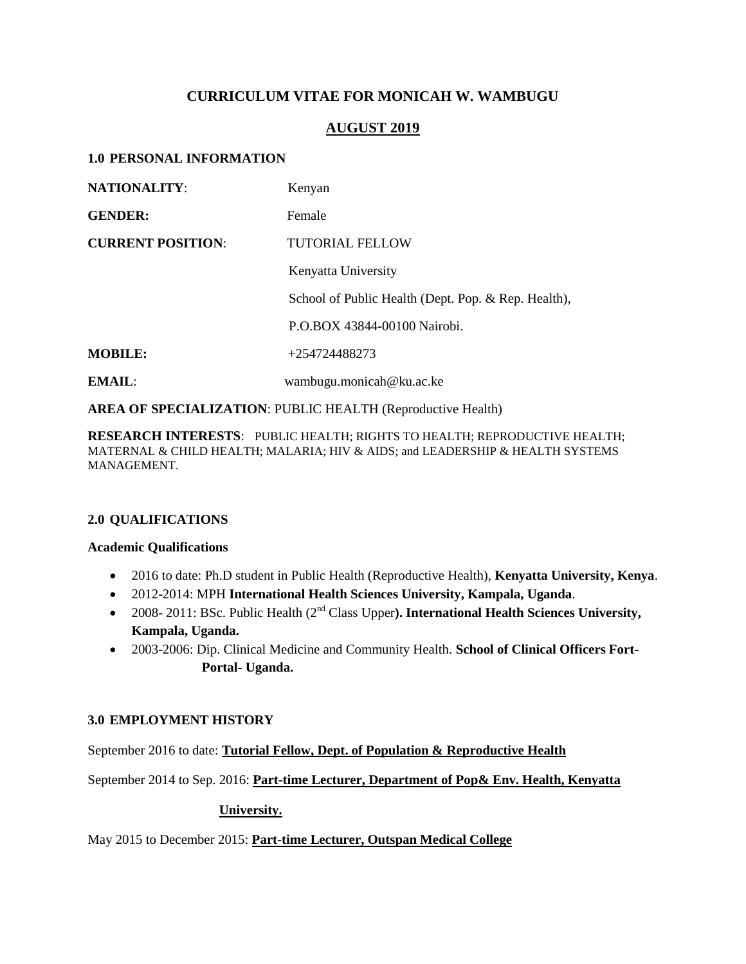# **CURRICULUM VITAE FOR MONICAH W. WAMBUGU**

# **AUGUST 2019**

### **1.0 PERSONAL INFORMATION**

| <b>NATIONALITY:</b>      | Kenyan                                              |
|--------------------------|-----------------------------------------------------|
| <b>GENDER:</b>           | Female                                              |
| <b>CURRENT POSITION:</b> | <b>TUTORIAL FELLOW</b>                              |
|                          | Kenyatta University                                 |
|                          | School of Public Health (Dept. Pop. & Rep. Health), |
|                          | P.O.BOX 43844-00100 Nairobi.                        |
| <b>MOBILE:</b>           | +254724488273                                       |
| EMAIL:                   | wambugu.monicah@ku.ac.ke                            |

**AREA OF SPECIALIZATION**: PUBLIC HEALTH (Reproductive Health)

**RESEARCH INTERESTS**: PUBLIC HEALTH; RIGHTS TO HEALTH; REPRODUCTIVE HEALTH; MATERNAL & CHILD HEALTH; MALARIA; HIV & AIDS; and LEADERSHIP & HEALTH SYSTEMS MANAGEMENT.

# **2.0 QUALIFICATIONS**

#### **Academic Qualifications**

- 2016 to date: Ph.D student in Public Health (Reproductive Health), **Kenyatta University, Kenya**.
- 2012-2014: MPH **International Health Sciences University, Kampala, Uganda**.
- 2008- 2011: BSc. Public Health (2<sup>nd</sup> Class Upper). **International Health Sciences University, Kampala, Uganda.**
- 2003-2006: Dip. Clinical Medicine and Community Health. **School of Clinical Officers Fort- Portal- Uganda.**

# **3.0 EMPLOYMENT HISTORY**

September 2016 to date: **Tutorial Fellow, Dept. of Population & Reproductive Health** 

September 2014 to Sep. 2016: **Part-time Lecturer, Department of Pop& Env. Health, Kenyatta**

# **University.**

May 2015 to December 2015: **Part-time Lecturer, Outspan Medical College**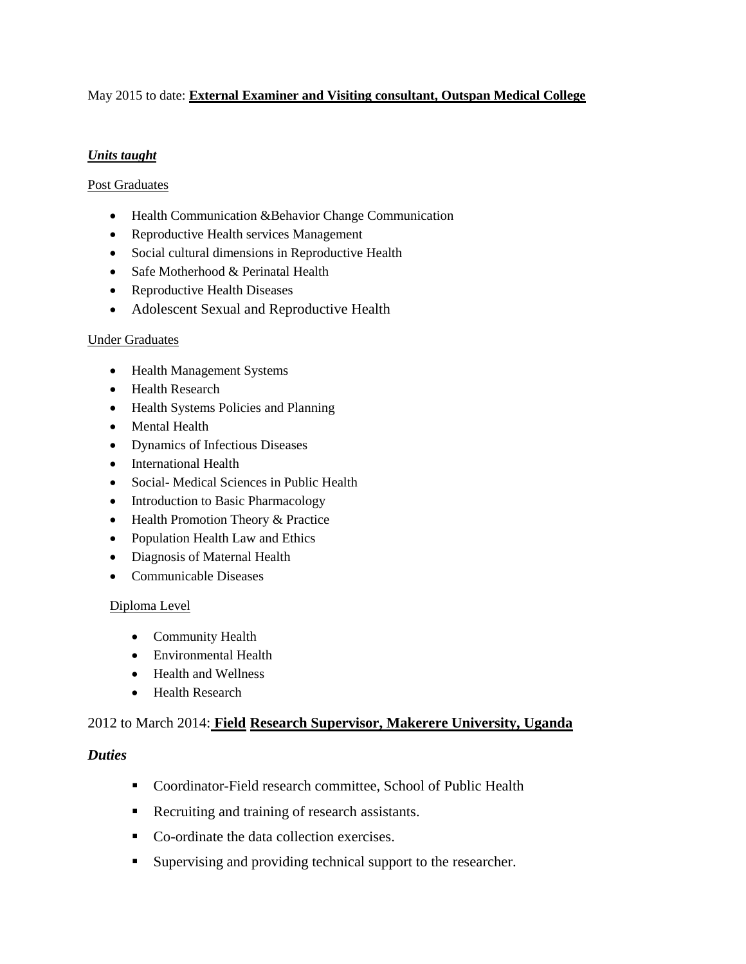# May 2015 to date: **External Examiner and Visiting consultant, Outspan Medical College**

### *Units taught*

#### Post Graduates

- Health Communication &Behavior Change Communication
- Reproductive Health services Management
- Social cultural dimensions in Reproductive Health
- Safe Motherhood & Perinatal Health
- Reproductive Health Diseases
- Adolescent Sexual and Reproductive Health

#### Under Graduates

- Health Management Systems
- Health Research
- Health Systems Policies and Planning
- Mental Health
- Dynamics of Infectious Diseases
- International Health
- Social- Medical Sciences in Public Health
- Introduction to Basic Pharmacology
- Health Promotion Theory & Practice
- Population Health Law and Ethics
- Diagnosis of Maternal Health
- Communicable Diseases

#### Diploma Level

- Community Health
- Environmental Health
- Health and Wellness
- Health Research

# 2012 to March 2014: **Field Research Supervisor, Makerere University, Uganda**

### *Duties*

- Coordinator-Field research committee, School of Public Health
- Recruiting and training of research assistants.
- Co-ordinate the data collection exercises.
- Supervising and providing technical support to the researcher.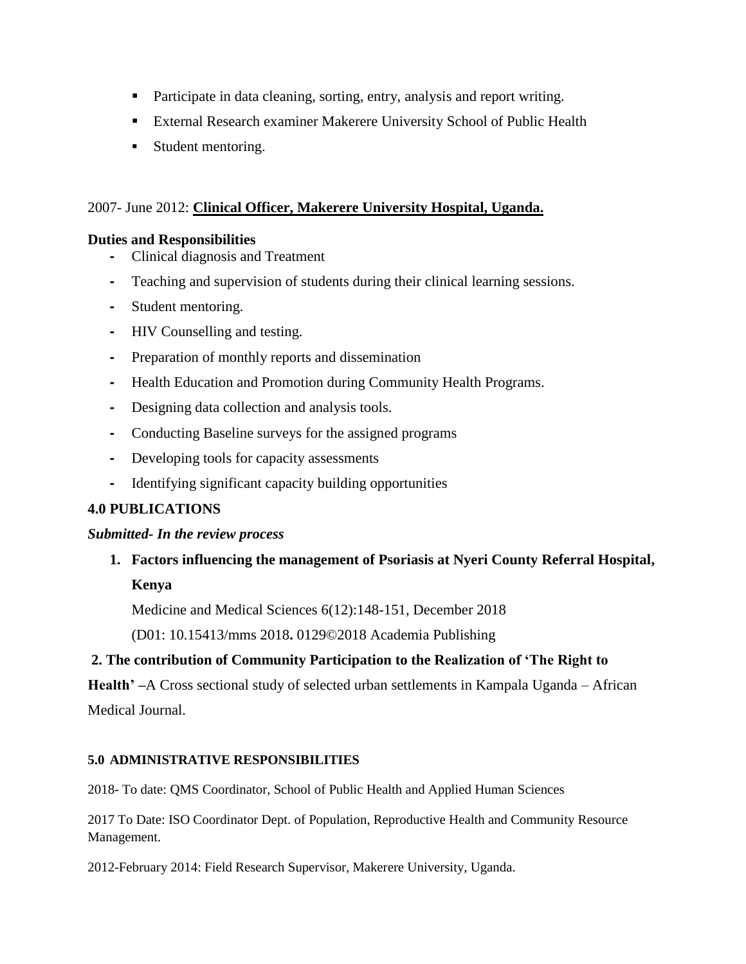- Participate in data cleaning, sorting, entry, analysis and report writing.
- External Research examiner Makerere University School of Public Health
- **Student mentoring.**

# 2007- June 2012: **Clinical Officer, Makerere University Hospital, Uganda.**

# **Duties and Responsibilities**

- **-** Clinical diagnosis and Treatment
- **-** Teaching and supervision of students during their clinical learning sessions.
- **-** Student mentoring.
- **-** HIV Counselling and testing.
- **-** Preparation of monthly reports and dissemination
- **-** Health Education and Promotion during Community Health Programs.
- **-** Designing data collection and analysis tools.
- **-** Conducting Baseline surveys for the assigned programs
- **-** Developing tools for capacity assessments
- **-** Identifying significant capacity building opportunities

# **4.0 PUBLICATIONS**

# *Submitted- In the review process*

**1. Factors influencing the management of Psoriasis at Nyeri County Referral Hospital, Kenya**

Medicine and Medical Sciences 6(12):148-151, December 2018

(D01: 10.15413/mms 2018**.** 0129©2018 Academia Publishing

# **2. The contribution of Community Participation to the Realization of 'The Right to**

**Health' –**A Cross sectional study of selected urban settlements in Kampala Uganda – African Medical Journal.

# **5.0 ADMINISTRATIVE RESPONSIBILITIES**

2018- To date: QMS Coordinator, School of Public Health and Applied Human Sciences

2017 To Date: ISO Coordinator Dept. of Population, Reproductive Health and Community Resource Management.

2012-February 2014: Field Research Supervisor, Makerere University, Uganda.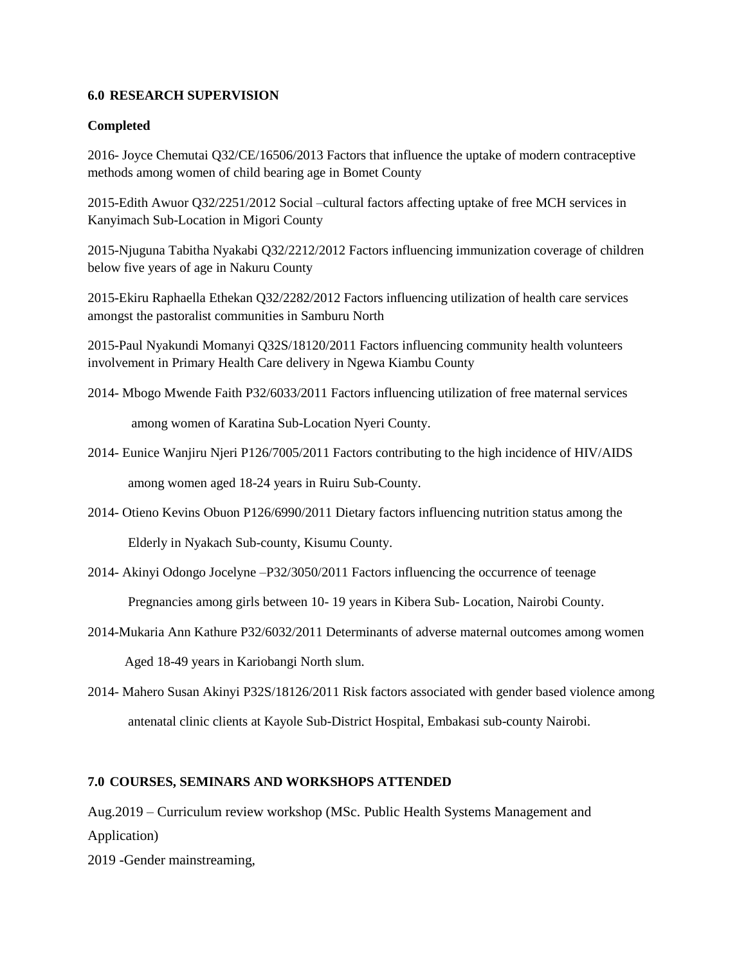### **6.0 RESEARCH SUPERVISION**

### **Completed**

2016- Joyce Chemutai Q32/CE/16506/2013 Factors that influence the uptake of modern contraceptive methods among women of child bearing age in Bomet County

2015-Edith Awuor Q32/2251/2012 Social –cultural factors affecting uptake of free MCH services in Kanyimach Sub-Location in Migori County

2015-Njuguna Tabitha Nyakabi Q32/2212/2012 Factors influencing immunization coverage of children below five years of age in Nakuru County

2015-Ekiru Raphaella Ethekan Q32/2282/2012 Factors influencing utilization of health care services amongst the pastoralist communities in Samburu North

2015-Paul Nyakundi Momanyi Q32S/18120/2011 Factors influencing community health volunteers involvement in Primary Health Care delivery in Ngewa Kiambu County

2014- Mbogo Mwende Faith P32/6033/2011 Factors influencing utilization of free maternal services

among women of Karatina Sub-Location Nyeri County.

2014- Eunice Wanjiru Njeri P126/7005/2011 Factors contributing to the high incidence of HIV/AIDS

among women aged 18-24 years in Ruiru Sub-County.

2014- Otieno Kevins Obuon P126/6990/2011 Dietary factors influencing nutrition status among the

Elderly in Nyakach Sub-county, Kisumu County.

2014- Akinyi Odongo Jocelyne –P32/3050/2011 Factors influencing the occurrence of teenage

Pregnancies among girls between 10- 19 years in Kibera Sub- Location, Nairobi County.

- 2014-Mukaria Ann Kathure P32/6032/2011 Determinants of adverse maternal outcomes among women Aged 18-49 years in Kariobangi North slum.
- 2014- Mahero Susan Akinyi P32S/18126/2011 Risk factors associated with gender based violence among antenatal clinic clients at Kayole Sub-District Hospital, Embakasi sub-county Nairobi.

# **7.0 COURSES, SEMINARS AND WORKSHOPS ATTENDED**

Aug.2019 – Curriculum review workshop (MSc. Public Health Systems Management and Application)

2019 -Gender mainstreaming,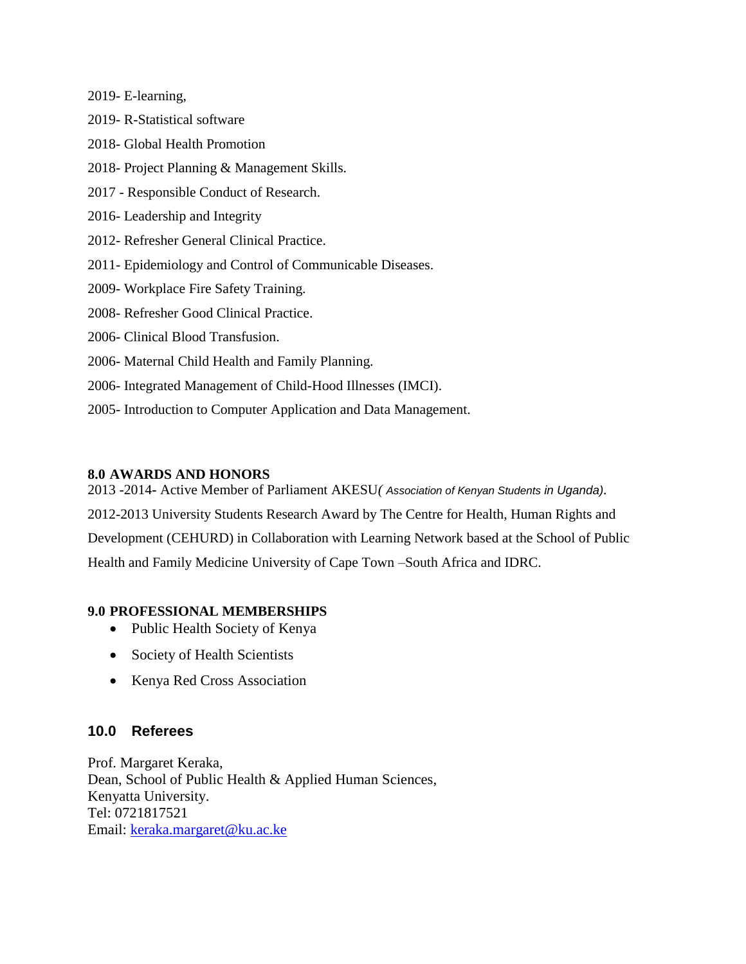2019- E-learning,

- 2019- R-Statistical software
- 2018- Global Health Promotion
- 2018- Project Planning & Management Skills.
- 2017 Responsible Conduct of Research.
- 2016- Leadership and Integrity
- 2012- Refresher General Clinical Practice.
- 2011- Epidemiology and Control of Communicable Diseases.
- 2009- Workplace Fire Safety Training.
- 2008- Refresher Good Clinical Practice.
- 2006- Clinical Blood Transfusion.
- 2006- Maternal Child Health and Family Planning.
- 2006- Integrated Management of Child-Hood Illnesses (IMCI).
- 2005- Introduction to Computer Application and Data Management.

### **8.0 AWARDS AND HONORS**

2013 -2014**-** Active Member of Parliament AKESU*( Association of Kenyan Students in Uganda).*  2012-2013 University Students Research Award by The Centre for Health, Human Rights and Development (CEHURD) in Collaboration with Learning Network based at the School of Public Health and Family Medicine University of Cape Town –South Africa and IDRC.

# **9.0 PROFESSIONAL MEMBERSHIPS**

- Public Health Society of Kenya
- Society of Health Scientists
- Kenya Red Cross Association

# **10.0 Referees**

Prof. Margaret Keraka, Dean, School of Public Health & Applied Human Sciences, Kenyatta University. Tel: 0721817521 Email: [keraka.margaret@ku.ac.ke](mailto:keraka.margaret@ku.ac.ke)